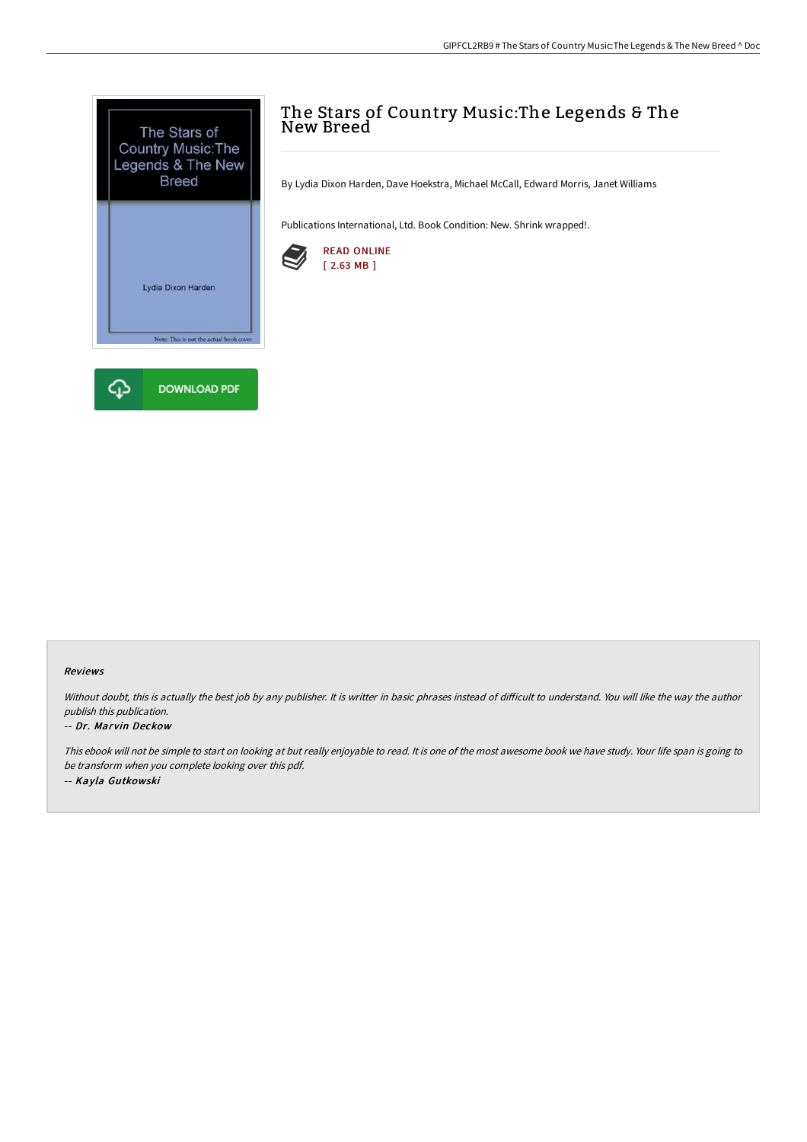

# The Stars of Country Music:The Legends & The New Breed

By Lydia Dixon Harden, Dave Hoekstra, Michael McCall, Edward Morris, Janet Williams

Publications International, Ltd. Book Condition: New. Shrink wrapped!.



### Reviews

Without doubt, this is actually the best job by any publisher. It is writter in basic phrases instead of difficult to understand. You will like the way the author publish this publication.

#### -- Dr. Marvin Deckow

This ebook will not be simple to start on looking at but really enjoyable to read. It is one of the most awesome book we have study. Your life span is going to be transform when you complete looking over this pdf. -- Kayla Gutkowski